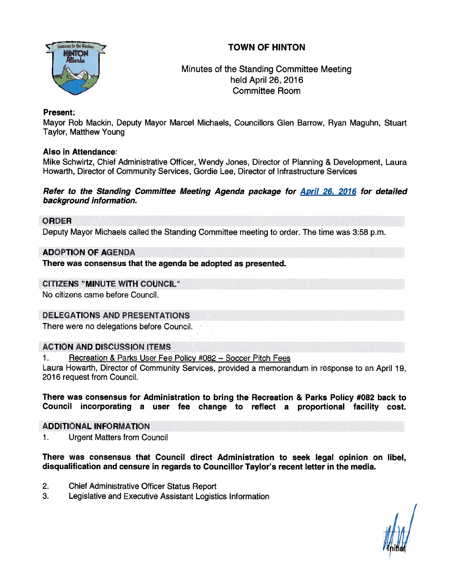# TOWN OF HINTON



Minutes of the Standing Committee Meeting held April 26, 2016 Committee Room

### Present:

Mayor Rob Mackin, Deputy Mayor Marcel Michaels, Councillors Glen Barrow, Ryan Maguhn, Stuart Taylor, Matthew Young

### Also in Attendance:

Mike Schwirtz, Chief Administrative Officer, Wendy Jones, Director of Planning & Development, Laura Howarth, Director of Community Services, Gordie Lee, Director of Infrastructure Services

#### Refer to the Standing Committee Meeting Agenda package for April 26. 2076 for detailed background information.

### ORDER

Deputy Mayor Micliaels called the Standing Committee meeting to order. The time was 3:58 p.m.

### ADOPTION QF AGENDA

There was consensus that the agenda be adopted as presented.

### CITIZENS "MINUTE WITH COUNCIL"

No citizens came before Council.

### DELEGATIONS AND PRESENTATIONS

There were no delegations before Council,

### ACTION AND DISCUSSION ITEMS

1. Recreation & Parks User Fee Policy #082 - Soccer Pitch Fees

Laura Howarth, Director of Community Services, provided <sup>a</sup> memorandum in response to an April 19, 2016 reques<sup>t</sup> from Council.

There was consensus for Administration to bring the Recreation & Parks Policy #082 back to Council incorporating <sup>a</sup> user fee change to reflect <sup>a</sup> proportional facility cost.

#### ADDITIONAL INFORMATION

1. Urgent Matters from Council

There was consensus that Council direct Administration to seek legal opinion on libel, disqualification and censure in regards to Councillor Taylor's recent letter in the media.

- 2. Chief Administrative Officer Status Report
- 3. Legislative and Executive Assistant Logistics Information